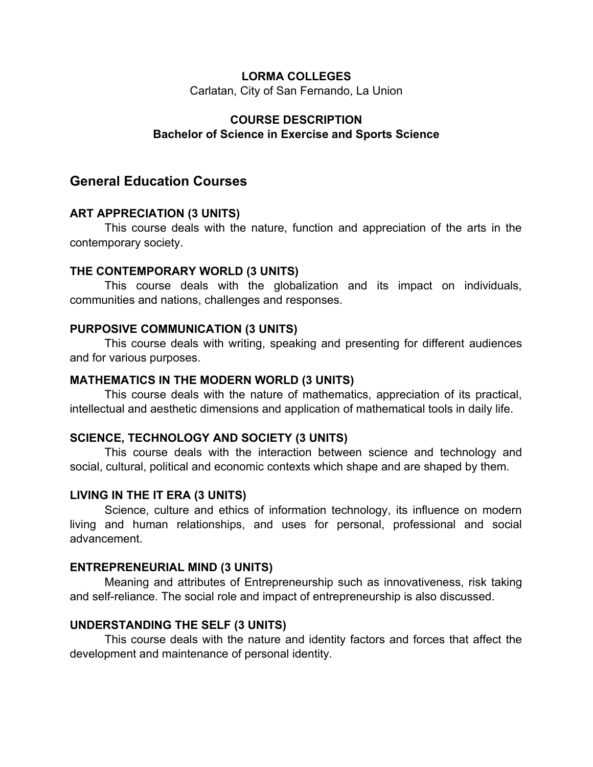### **LORMA COLLEGES**

Carlatan, City of San Fernando, La Union

## **COURSE DESCRIPTION Bachelor of Science in Exercise and Sports Science**

## **General Education Courses**

## **ART APPRECIATION (3 UNITS)**

This course deals with the nature, function and appreciation of the arts in the contemporary society.

### **THE CONTEMPORARY WORLD (3 UNITS)**

This course deals with the globalization and its impact on individuals, communities and nations, challenges and responses.

### **PURPOSIVE COMMUNICATION (3 UNITS)**

This course deals with writing, speaking and presenting for different audiences and for various purposes.

### **MATHEMATICS IN THE MODERN WORLD (3 UNITS)**

This course deals with the nature of mathematics, appreciation of its practical, intellectual and aesthetic dimensions and application of mathematical tools in daily life.

## **SCIENCE, TECHNOLOGY AND SOCIETY (3 UNITS)**

This course deals with the interaction between science and technology and social, cultural, political and economic contexts which shape and are shaped by them.

## **LIVING IN THE IT ERA (3 UNITS)**

Science, culture and ethics of information technology, its influence on modern living and human relationships, and uses for personal, professional and social advancement.

#### **ENTREPRENEURIAL MIND (3 UNITS)**

Meaning and attributes of Entrepreneurship such as innovativeness, risk taking and self-reliance. The social role and impact of entrepreneurship is also discussed.

## **UNDERSTANDING THE SELF (3 UNITS)**

This course deals with the nature and identity factors and forces that affect the development and maintenance of personal identity.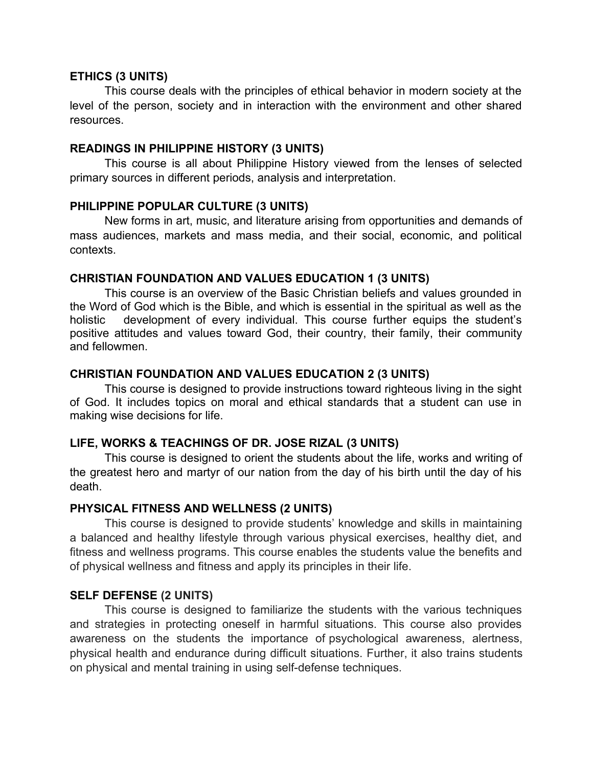#### **ETHICS (3 UNITS)**

This course deals with the principles of ethical behavior in modern society at the level of the person, society and in interaction with the environment and other shared resources.

### **READINGS IN PHILIPPINE HISTORY (3 UNITS)**

This course is all about Philippine History viewed from the lenses of selected primary sources in different periods, analysis and interpretation.

### **PHILIPPINE POPULAR CULTURE (3 UNITS)**

New forms in art, music, and literature arising from opportunities and demands of mass audiences, markets and mass media, and their social, economic, and political contexts.

## **CHRISTIAN FOUNDATION AND VALUES EDUCATION 1 (3 UNITS)**

This course is an overview of the Basic Christian beliefs and values grounded in the Word of God which is the Bible, and which is essential in the spiritual as well as the holistic development of every individual. This course further equips the student's positive attitudes and values toward God, their country, their family, their community and fellowmen.

## **CHRISTIAN FOUNDATION AND VALUES EDUCATION 2 (3 UNITS)**

This course is designed to provide instructions toward righteous living in the sight of God. It includes topics on moral and ethical standards that a student can use in making wise decisions for life.

## **LIFE, WORKS & TEACHINGS OF DR. JOSE RIZAL (3 UNITS)**

This course is designed to orient the students about the life, works and writing of the greatest hero and martyr of our nation from the day of his birth until the day of his death.

## **PHYSICAL FITNESS AND WELLNESS (2 UNITS)**

This course is designed to provide students' knowledge and skills in maintaining a balanced and healthy lifestyle through various physical exercises, healthy diet, and fitness and wellness programs. This course enables the students value the benefits and of physical wellness and fitness and apply its principles in their life.

## **SELF DEFENSE (2 UNITS)**

This course is designed to familiarize the students with the various techniques and strategies in protecting oneself in harmful situations. This course also provides awareness on the students the importance of psychological awareness, alertness, physical health and endurance during difficult situations. Further, it also trains students on physical and mental training in using self-defense techniques.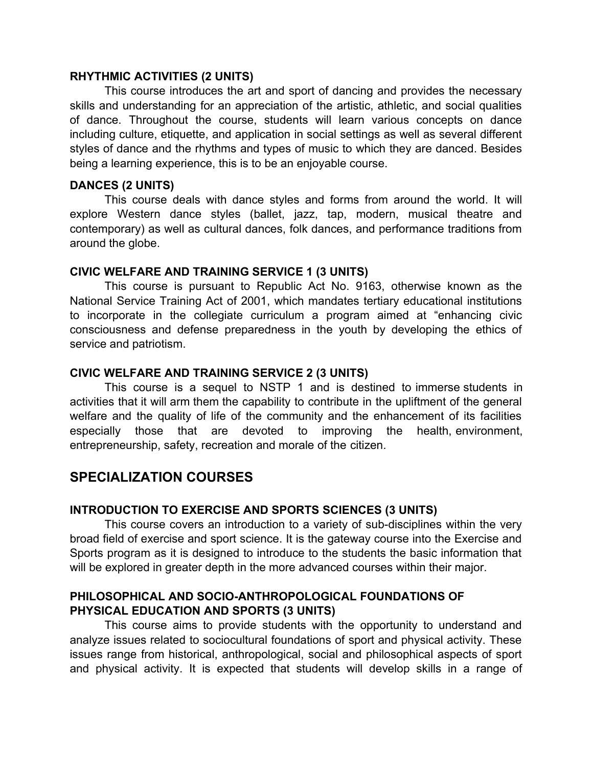#### **RHYTHMIC ACTIVITIES (2 UNITS)**

This course introduces the art and sport of dancing and provides the necessary skills and understanding for an appreciation of the artistic, athletic, and social qualities of dance. Throughout the course, students will learn various concepts on dance including culture, etiquette, and application in social settings as well as several different styles of dance and the rhythms and types of music to which they are danced. Besides being a learning experience, this is to be an enjoyable course.

### **DANCES (2 UNITS)**

This course deals with dance styles and forms from around the world. It will explore Western dance styles (ballet, jazz, tap, modern, musical theatre and contemporary) as well as cultural dances, folk dances, and performance traditions from around the globe.

## **CIVIC WELFARE AND TRAINING SERVICE 1 (3 UNITS)**

This course is pursuant to Republic Act No. 9163, otherwise known as the National Service Training Act of 2001, which mandates tertiary educational institutions to incorporate in the collegiate curriculum a program aimed at "enhancing civic consciousness and defense preparedness in the youth by developing the ethics of service and patriotism.

## **CIVIC WELFARE AND TRAINING SERVICE 2 (3 UNITS)**

This course is a sequel to NSTP 1 and is destined to immerse students in activities that it will arm them the capability to contribute in the upliftment of the general welfare and the quality of life of the community and the enhancement of its facilities especially those that are devoted to improving the health, environment, entrepreneurship, safety, recreation and morale of the citizen.

# **SPECIALIZATION COURSES**

## **INTRODUCTION TO EXERCISE AND SPORTS SCIENCES (3 UNITS)**

This course covers an introduction to a variety of sub-disciplines within the very broad field of exercise and sport science. It is the gateway course into the Exercise and Sports program as it is designed to introduce to the students the basic information that will be explored in greater depth in the more advanced courses within their major.

## **PHILOSOPHICAL AND SOCIO-ANTHROPOLOGICAL FOUNDATIONS OF PHYSICAL EDUCATION AND SPORTS (3 UNITS)**

This course aims to provide students with the opportunity to understand and analyze issues related to sociocultural foundations of sport and physical activity. These issues range from historical, anthropological, social and philosophical aspects of sport and physical activity. It is expected that students will develop skills in a range of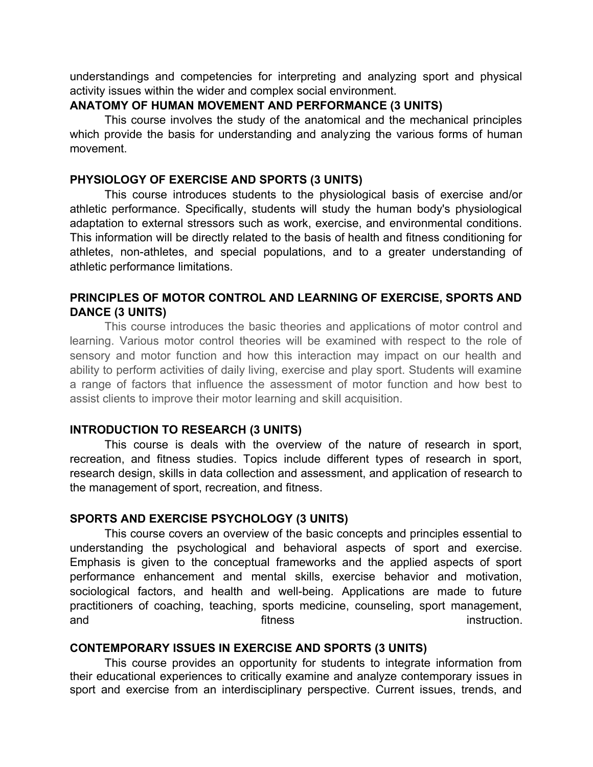understandings and competencies for interpreting and analyzing sport and physical activity issues within the wider and complex social environment.

#### **ANATOMY OF HUMAN MOVEMENT AND PERFORMANCE (3 UNITS)**

This course involves the study of the anatomical and the mechanical principles which provide the basis for understanding and analyzing the various forms of human movement.

### **PHYSIOLOGY OF EXERCISE AND SPORTS (3 UNITS)**

This course introduces students to the physiological basis of exercise and/or athletic performance. Specifically, students will study the human body's physiological adaptation to external stressors such as work, exercise, and environmental conditions. This information will be directly related to the basis of health and fitness conditioning for athletes, non-athletes, and special populations, and to a greater understanding of athletic performance limitations.

## **PRINCIPLES OF MOTOR CONTROL AND LEARNING OF EXERCISE, SPORTS AND DANCE (3 UNITS)**

This course introduces the basic theories and applications of motor control and learning. Various motor control theories will be examined with respect to the role of sensory and motor function and how this interaction may impact on our health and ability to perform activities of daily living, exercise and play sport. Students will examine a range of factors that influence the assessment of motor function and how best to assist clients to improve their motor learning and skill acquisition.

## **INTRODUCTION TO RESEARCH (3 UNITS)**

This course is deals with the overview of the nature of research in sport, recreation, and fitness studies. Topics include different types of research in sport, research design, skills in data collection and assessment, and application of research to the management of sport, recreation, and fitness.

#### **SPORTS AND EXERCISE PSYCHOLOGY (3 UNITS)**

This course covers an overview of the basic concepts and principles essential to understanding the psychological and behavioral aspects of sport and exercise. Emphasis is given to the conceptual frameworks and the applied aspects of sport performance enhancement and mental skills, exercise behavior and motivation, sociological factors, and health and well-being. Applications are made to future practitioners of coaching, teaching, sports medicine, counseling, sport management, and instruction. The fitness instruction instruction.

#### **CONTEMPORARY ISSUES IN EXERCISE AND SPORTS (3 UNITS)**

This course provides an opportunity for students to integrate information from their educational experiences to critically examine and analyze contemporary issues in sport and exercise from an interdisciplinary perspective. Current issues, trends, and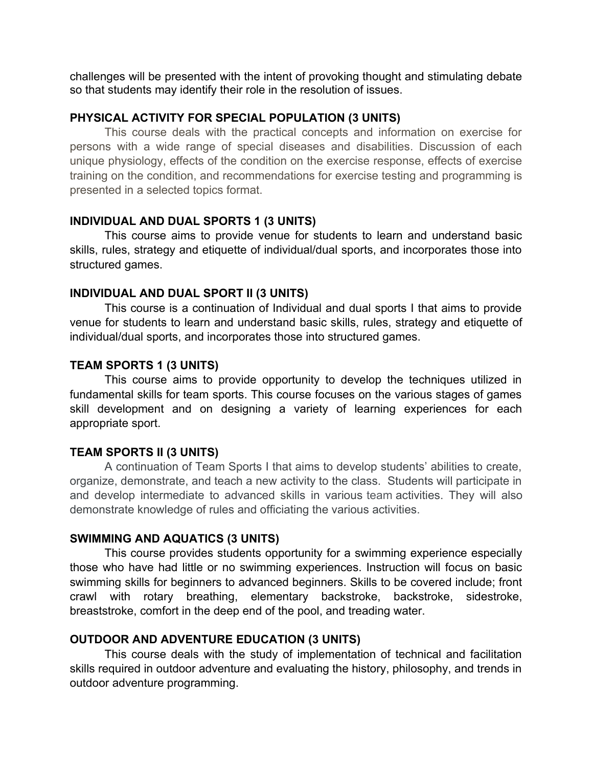challenges will be presented with the intent of provoking thought and stimulating debate so that students may identify their role in the resolution of issues.

## **PHYSICAL ACTIVITY FOR SPECIAL POPULATION (3 UNITS)**

This course deals with the practical concepts and information on exercise for persons with a wide range of special diseases and disabilities. Discussion of each unique physiology, effects of the condition on the exercise response, effects of exercise training on the condition, and recommendations for exercise testing and programming is presented in a selected topics format.

## **INDIVIDUAL AND DUAL SPORTS 1 (3 UNITS)**

This course aims to provide venue for students to learn and understand basic skills, rules, strategy and etiquette of individual/dual sports, and incorporates those into structured games.

## **INDIVIDUAL AND DUAL SPORT II (3 UNITS)**

This course is a continuation of Individual and dual sports I that aims to provide venue for students to learn and understand basic skills, rules, strategy and etiquette of individual/dual sports, and incorporates those into structured games.

## **TEAM SPORTS 1 (3 UNITS)**

This course aims to provide opportunity to develop the techniques utilized in fundamental skills for team sports. This course focuses on the various stages of games skill development and on designing a variety of learning experiences for each appropriate sport.

## **TEAM SPORTS II (3 UNITS)**

A continuation of Team Sports I that aims to develop students' abilities to create, organize, demonstrate, and teach a new activity to the class. Students will participate in and develop intermediate to advanced skills in various team activities. They will also demonstrate knowledge of rules and officiating the various activities.

## **SWIMMING AND AQUATICS (3 UNITS)**

This course provides students opportunity for a swimming experience especially those who have had little or no swimming experiences. Instruction will focus on basic swimming skills for beginners to advanced beginners. Skills to be covered include; front crawl with rotary breathing, elementary backstroke, backstroke, sidestroke, breaststroke, comfort in the deep end of the pool, and treading water.

## **OUTDOOR AND ADVENTURE EDUCATION (3 UNITS)**

This course deals with the study of implementation of technical and facilitation skills required in outdoor adventure and evaluating the history, philosophy, and trends in outdoor adventure programming.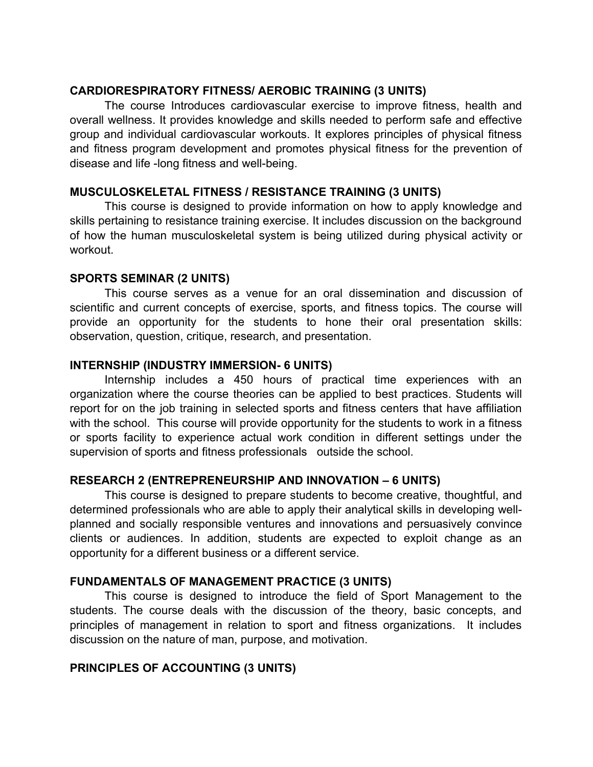## **CARDIORESPIRATORY FITNESS/ AEROBIC TRAINING (3 UNITS)**

The course Introduces cardiovascular exercise to improve fitness, health and overall wellness. It provides knowledge and skills needed to perform safe and effective group and individual cardiovascular workouts. It explores principles of physical fitness and fitness program development and promotes physical fitness for the prevention of disease and life -long fitness and well-being.

## **MUSCULOSKELETAL FITNESS / RESISTANCE TRAINING (3 UNITS)**

This course is designed to provide information on how to apply knowledge and skills pertaining to resistance training exercise. It includes discussion on the background of how the human musculoskeletal system is being utilized during physical activity or workout.

## **SPORTS SEMINAR (2 UNITS)**

This course serves as a venue for an oral dissemination and discussion of scientific and current concepts of exercise, sports, and fitness topics. The course will provide an opportunity for the students to hone their oral presentation skills: observation, question, critique, research, and presentation.

## **INTERNSHIP (INDUSTRY IMMERSION- 6 UNITS)**

Internship includes a 450 hours of practical time experiences with an organization where the course theories can be applied to best practices. Students will report for on the job training in selected sports and fitness centers that have affiliation with the school. This course will provide opportunity for the students to work in a fitness or sports facility to experience actual work condition in different settings under the supervision of sports and fitness professionals outside the school.

## **RESEARCH 2 (ENTREPRENEURSHIP AND INNOVATION – 6 UNITS)**

This course is designed to prepare students to become creative, thoughtful, and determined professionals who are able to apply their analytical skills in developing wellplanned and socially responsible ventures and innovations and persuasively convince clients or audiences. In addition, students are expected to exploit change as an opportunity for a different business or a different service.

## **FUNDAMENTALS OF MANAGEMENT PRACTICE (3 UNITS)**

This course is designed to introduce the field of Sport Management to the students. The course deals with the discussion of the theory, basic concepts, and principles of management in relation to sport and fitness organizations. It includes discussion on the nature of man, purpose, and motivation.

## **PRINCIPLES OF ACCOUNTING (3 UNITS)**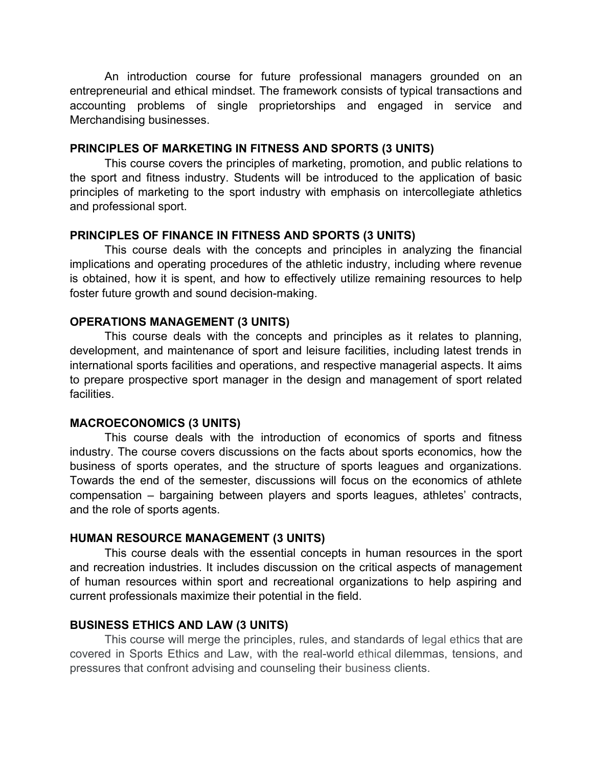An introduction course for future professional managers grounded on an entrepreneurial and ethical mindset. The framework consists of typical transactions and accounting problems of single proprietorships and engaged in service and Merchandising businesses.

#### **PRINCIPLES OF MARKETING IN FITNESS AND SPORTS (3 UNITS)**

This course covers the principles of marketing, promotion, and public relations to the sport and fitness industry. Students will be introduced to the application of basic principles of marketing to the sport industry with emphasis on intercollegiate athletics and professional sport.

## **PRINCIPLES OF FINANCE IN FITNESS AND SPORTS (3 UNITS)**

This course deals with the concepts and principles in analyzing the financial implications and operating procedures of the athletic industry, including where revenue is obtained, how it is spent, and how to effectively utilize remaining resources to help foster future growth and sound decision-making.

## **OPERATIONS MANAGEMENT (3 UNITS)**

This course deals with the concepts and principles as it relates to planning, development, and maintenance of sport and leisure facilities, including latest trends in international sports facilities and operations, and respective managerial aspects. It aims to prepare prospective sport manager in the design and management of sport related facilities.

## **MACROECONOMICS (3 UNITS)**

This course deals with the introduction of economics of sports and fitness industry. The course covers discussions on the facts about sports economics, how the business of sports operates, and the structure of sports leagues and organizations. Towards the end of the semester, discussions will focus on the economics of athlete compensation – bargaining between players and sports leagues, athletes' contracts, and the role of sports agents.

## **HUMAN RESOURCE MANAGEMENT (3 UNITS)**

This course deals with the essential concepts in human resources in the sport and recreation industries. It includes discussion on the critical aspects of management of human resources within sport and recreational organizations to help aspiring and current professionals maximize their potential in the field.

## **BUSINESS ETHICS AND LAW (3 UNITS)**

This course will merge the principles, rules, and standards of legal ethics that are covered in Sports Ethics and Law, with the real-world ethical dilemmas, tensions, and pressures that confront advising and counseling their business clients.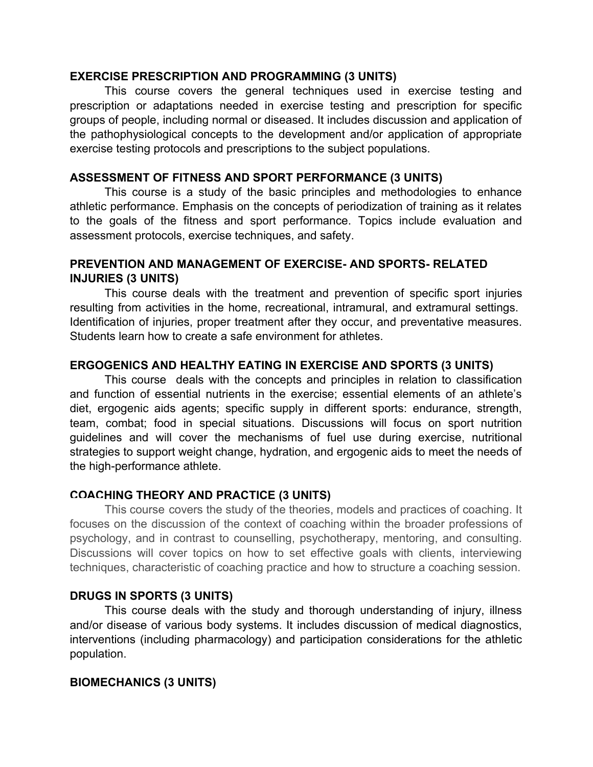### **EXERCISE PRESCRIPTION AND PROGRAMMING (3 UNITS)**

This course covers the general techniques used in exercise testing and prescription or adaptations needed in exercise testing and prescription for specific groups of people, including normal or diseased. It includes discussion and application of the pathophysiological concepts to the development and/or application of appropriate exercise testing protocols and prescriptions to the subject populations.

## **ASSESSMENT OF FITNESS AND SPORT PERFORMANCE (3 UNITS)**

This course is a study of the basic principles and methodologies to enhance athletic performance. Emphasis on the concepts of periodization of training as it relates to the goals of the fitness and sport performance. Topics include evaluation and assessment protocols, exercise techniques, and safety.

## **PREVENTION AND MANAGEMENT OF EXERCISE- AND SPORTS- RELATED INJURIES (3 UNITS)**

This course deals with the treatment and prevention of specific sport injuries resulting from activities in the home, recreational, intramural, and extramural settings. Identification of injuries, proper treatment after they occur, and preventative measures. Students learn how to create a safe environment for athletes.

## **ERGOGENICS AND HEALTHY EATING IN EXERCISE AND SPORTS (3 UNITS)**

This course deals with the concepts and principles in relation to classification and function of essential nutrients in the exercise; essential elements of an athlete's diet, ergogenic aids agents; specific supply in different sports: endurance, strength, team, combat; food in special situations. Discussions will focus on sport nutrition guidelines and will cover the mechanisms of fuel use during exercise, nutritional strategies to support weight change, hydration, and ergogenic aids to meet the needs of the high-performance athlete.

## **COACHING THEORY AND PRACTICE (3 UNITS)**

This course covers the study of the theories, models and practices of coaching. It focuses on the discussion of the context of coaching within the broader professions of psychology, and in contrast to counselling, psychotherapy, mentoring, and consulting. Discussions will cover topics on how to set effective goals with clients, interviewing techniques, characteristic of coaching practice and how to structure a coaching session.

## **DRUGS IN SPORTS (3 UNITS)**

This course deals with the study and thorough understanding of injury, illness and/or disease of various body systems. It includes discussion of medical diagnostics, interventions (including pharmacology) and participation considerations for the athletic population.

## **BIOMECHANICS (3 UNITS)**